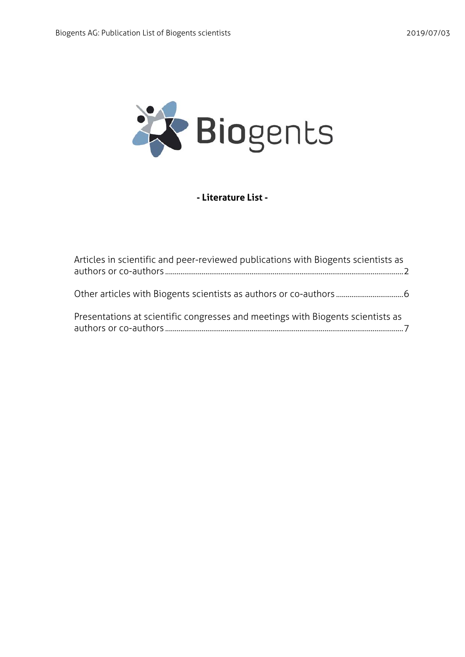

## **- Literature List -**

| Articles in scientific and peer-reviewed publications with Biogents scientists as |  |
|-----------------------------------------------------------------------------------|--|
|                                                                                   |  |
| Presentations at scientific congresses and meetings with Biogents scientists as   |  |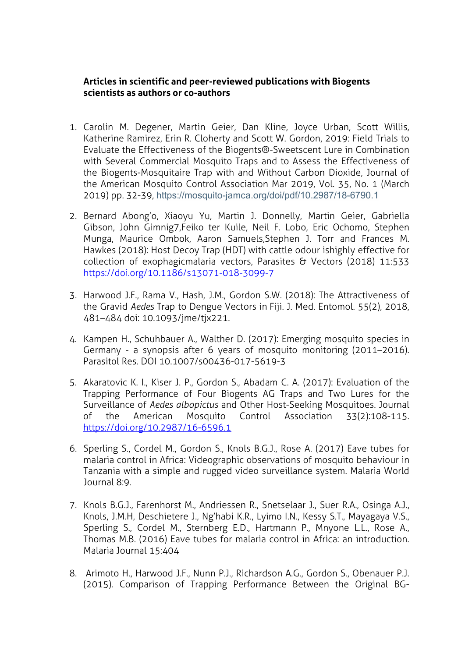## **Articles in scientific and peer-reviewed publications with Biogents scientists as authors or co-authors**

- 1. Carolin M. Degener, Martin Geier, Dan Kline, Joyce Urban, Scott Willis, Katherine Ramirez, Erin R. Cloherty and Scott W. Gordon, 2019: Field Trials to Evaluate the Effectiveness of the Biogents®-Sweetscent Lure in Combination with Several Commercial Mosquito Traps and to Assess the Effectiveness of the Biogents-Mosquitaire Trap with and Without Carbon Dioxide, Journal of the American Mosquito Control Association Mar 2019, Vol. 35, No. 1 (March 2019) pp. 32-39, https://mosquito-jamca.org/doi/pdf/10.2987/18-6790.1
- 2. Bernard Abong'o, Xiaoyu Yu, Martin J. Donnelly, Martin Geier, Gabriella Gibson, John Gimnig7,Feiko ter Kuile, Neil F. Lobo, Eric Ochomo, Stephen Munga, Maurice Ombok, Aaron Samuels,Stephen J. Torr and Frances M. Hawkes (2018): Host Decoy Trap (HDT) with cattle odour ishighly effective for collection of exophagicmalaria vectors, Parasites & Vectors (2018) 11:533 https://doi.org/10.1186/s13071-018-3099-7
- 3. Harwood J.F., Rama V., Hash, J.M., Gordon S.W. (2018): The Attractiveness of the Gravid *Aedes* Trap to Dengue Vectors in Fiji. J. Med. Entomol. 55(2), 2018, 481–484 doi: 10.1093/jme/tjx221.
- 4. Kampen H., Schuhbauer A., Walther D. (2017): Emerging mosquito species in Germany - a synopsis after 6 years of mosquito monitoring (2011–2016). Parasitol Res. DOI 10.1007/s00436-017-5619-3
- 5. Akaratovic K. I., Kiser J. P., Gordon S., Abadam C. A. (2017): Evaluation of the Trapping Performance of Four Biogents AG Traps and Two Lures for the Surveillance of *Aedes albopictus* and Other Host-Seeking Mosquitoes. Journal of the American Mosquito Control Association 33(2):108-115. https://doi.org/10.2987/16-6596.1
- 6. Sperling S., Cordel M., Gordon S., Knols B.G.J., Rose A. (2017) Eave tubes for malaria control in Africa: Videographic observations of mosquito behaviour in Tanzania with a simple and rugged video surveillance system. Malaria World Journal 8:9.
- 7. Knols B.G.J., Farenhorst M., Andriessen R., Snetselaar J., Suer R.A., Osinga A.J., Knols, J.M.H, Deschietere J., Ng'habi K.R., Lyimo I.N., Kessy S.T., Mayagaya V.S., Sperling S., Cordel M., Sternberg E.D., Hartmann P., Mnyone L.L., Rose A., Thomas M.B. (2016) Eave tubes for malaria control in Africa: an introduction. Malaria Journal 15:404
- 8. Arimoto H., Harwood J.F., Nunn P.J., Richardson A.G., Gordon S., Obenauer P.J. (2015). Comparison of Trapping Performance Between the Original BG-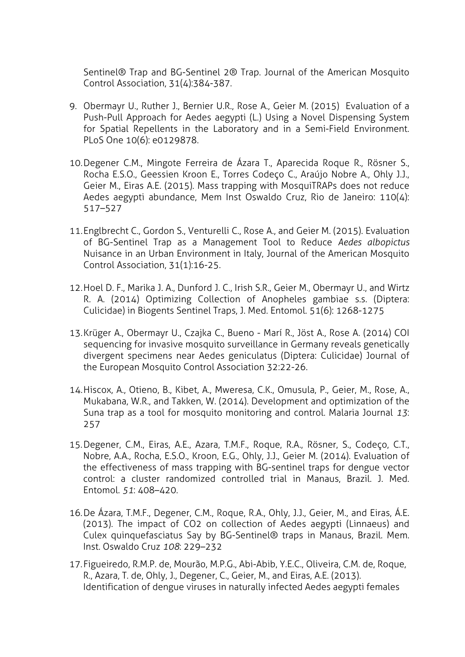Sentinel® Trap and BG-Sentinel 2® Trap. Journal of the American Mosquito Control Association, 31(4):384-387.

- 9. Obermayr U., Ruther J., Bernier U.R., Rose A., Geier M. (2015) Evaluation of a Push-Pull Approach for Aedes aegypti (L.) Using a Novel Dispensing System for Spatial Repellents in the Laboratory and in a Semi-Field Environment. PLoS One 10(6): e0129878.
- 10.Degener C.M., Mingote Ferreira de Ázara T., Aparecida Roque R., Rösner S., Rocha E.S.O., Geessien Kroon E., Torres Codeço C., Araújo Nobre A., Ohly J.J., Geier M., Eiras A.E. (2015). Mass trapping with MosquiTRAPs does not reduce Aedes aegypti abundance, Mem Inst Oswaldo Cruz, Rio de Janeiro: 110(4): 517–527
- 11.Englbrecht C., Gordon S., Venturelli C., Rose A., and Geier M. (2015). Evaluation of BG-Sentinel Trap as a Management Tool to Reduce *Aedes albopictus* Nuisance in an Urban Environment in Italy, Journal of the American Mosquito Control Association, 31(1):16-25.
- 12.Hoel D. F., Marika J. A., Dunford J. C., Irish S.R., Geier M., Obermayr U., and Wirtz R. A. (2014) Optimizing Collection of Anopheles gambiae s.s. (Diptera: Culicidae) in Biogents Sentinel Traps, J. Med. Entomol. 51(6): 1268-1275
- 13.Krüger A., Obermayr U., Czajka C., Bueno Marí R., Jöst A., Rose A. (2014) COI sequencing for invasive mosquito surveillance in Germany reveals genetically divergent specimens near Aedes geniculatus (Diptera: Culicidae) Journal of the European Mosquito Control Association 32:22-26.
- 14.Hiscox, A., Otieno, B., Kibet, A., Mweresa, C.K., Omusula, P., Geier, M., Rose, A., Mukabana, W.R., and Takken, W. (2014). Development and optimization of the Suna trap as a tool for mosquito monitoring and control. Malaria Journal *13*: 257
- 15.Degener, C.M., Eiras, A.E., Azara, T.M.F., Roque, R.A., Rösner, S., Codeço, C.T., Nobre, A.A., Rocha, E.S.O., Kroon, E.G., Ohly, J.J., Geier M. (2014). Evaluation of the effectiveness of mass trapping with BG-sentinel traps for dengue vector control: a cluster randomized controlled trial in Manaus, Brazil. J. Med. Entomol. *51*: 408–420.
- 16.De Ázara, T.M.F., Degener, C.M., Roque, R.A., Ohly, J.J., Geier, M., and Eiras, Á.E. (2013). The impact of CO2 on collection of Aedes aegypti (Linnaeus) and Culex quinquefasciatus Say by BG-Sentinel® traps in Manaus, Brazil. Mem. Inst. Oswaldo Cruz *108*: 229–232
- 17.Figueiredo, R.M.P. de, Mourão, M.P.G., Abi-Abib, Y.E.C., Oliveira, C.M. de, Roque, R., Azara, T. de, Ohly, J., Degener, C., Geier, M., and Eiras, A.E. (2013). Identification of dengue viruses in naturally infected Aedes aegypti females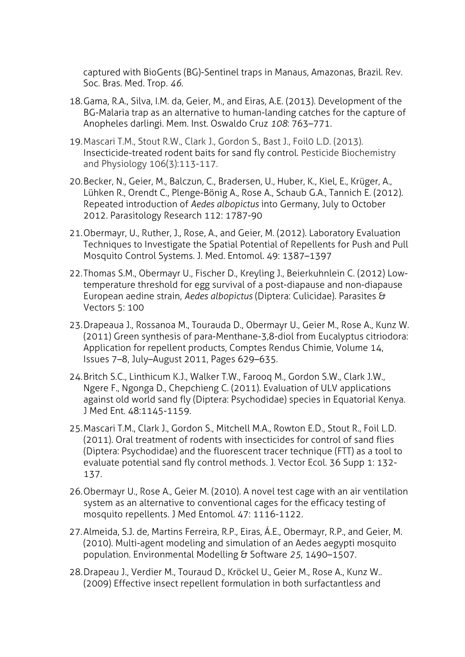captured with BioGents (BG)-Sentinel traps in Manaus, Amazonas, Brazil. Rev. Soc. Bras. Med. Trop. *46*.

- 18.Gama, R.A., Silva, I.M. da, Geier, M., and Eiras, A.E. (2013). Development of the BG-Malaria trap as an alternative to human-landing catches for the capture of Anopheles darlingi. Mem. Inst. Oswaldo Cruz *108*: 763–771.
- 19.Mascari T.M., Stout R.W., Clark J., Gordon S., Bast J., Foil0 L.D. (2013). Insecticide-treated rodent baits for sand fly control. Pesticide Biochemistry and Physiology 106(3):113-117.
- 20.Becker, N., Geier, M., Balczun, C., Bradersen, U., Huber, K., Kiel, E., Krüger, A., Lühken R., Orendt C., Plenge-Bönig A., Rose A., Schaub G.A., Tannich E. (2012). Repeated introduction of *Aedes albopictus* into Germany, July to October 2012. Parasitology Research 112: 1787-90
- 21.Obermayr, U., Ruther, J., Rose, A., and Geier, M. (2012). Laboratory Evaluation Techniques to Investigate the Spatial Potential of Repellents for Push and Pull Mosquito Control Systems. J. Med. Entomol. 49: 1387–1397
- 22.Thomas S.M., Obermayr U., Fischer D., Kreyling J., Beierkuhnlein C. (2012) Lowtemperature threshold for egg survival of a post-diapause and non-diapause European aedine strain, *Aedes albopictus* (Diptera: Culicidae). Parasites & Vectors 5: 100
- 23.Drapeaua J., Rossanoa M., Tourauda D., Obermayr U., Geier M., Rose A., Kunz W. (2011) Green synthesis of para-Menthane-3,8-diol from Eucalyptus citriodora: Application for repellent products, Comptes Rendus Chimie, Volume 14, Issues 7–8, July–August 2011, Pages 629–635.
- 24.Britch S.C., Linthicum K.J., Walker T.W., Farooq M., Gordon S.W., Clark J.W., Ngere F., Ngonga D., Chepchieng C. (2011). Evaluation of ULV applications against old world sand fly (Diptera: Psychodidae) species in Equatorial Kenya. J Med Ent. 48:1145-1159.
- 25.Mascari T.M., Clark J., Gordon S., Mitchell M.A., Rowton E.D., Stout R., Foil L.D. (2011). Oral treatment of rodents with insecticides for control of sand flies (Diptera: Psychodidae) and the fluorescent tracer technique (FTT) as a tool to evaluate potential sand fly control methods. J. Vector Ecol. 36 Supp 1: 132- 137.
- 26.Obermayr U., Rose A., Geier M. (2010). A novel test cage with an air ventilation system as an alternative to conventional cages for the efficacy testing of mosquito repellents. J Med Entomol. 47: 1116-1122.
- 27.Almeida, S.J. de, Martins Ferreira, R.P., Eiras, Á.E., Obermayr, R.P., and Geier, M. (2010). Multi-agent modeling and simulation of an Aedes aegypti mosquito population. Environmental Modelling & Software *25*, 1490–1507.
- 28.Drapeau J., Verdier M., Touraud D., Kröckel U., Geier M., Rose A., Kunz W.. (2009) Effective insect repellent formulation in both surfactantless and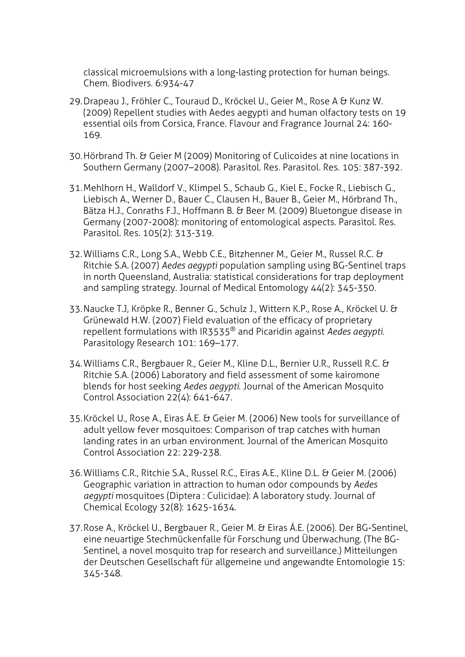classical microemulsions with a long-lasting protection for human beings. Chem. Biodivers. 6:934-47

- 29.Drapeau J., Fröhler C., Touraud D., Kröckel U., Geier M., Rose A & Kunz W. (2009) Repellent studies with Aedes aegypti and human olfactory tests on 19 essential oils from Corsica, France. Flavour and Fragrance Journal 24: 160- 169.
- 30.Hörbrand Th. & Geier M (2009) Monitoring of Culicoides at nine locations in Southern Germany (2007–2008). Parasitol. Res. Parasitol. Res. 105: 387-392.
- 31.Mehlhorn H., Walldorf V., Klimpel S., Schaub G., Kiel E., Focke R., Liebisch G., Liebisch A., Werner D., Bauer C., Clausen H., Bauer B., Geier M., Hörbrand Th., Bätza H.J., Conraths F.J., Hoffmann B. & Beer M. (2009) Bluetongue disease in Germany (2007-2008): monitoring of entomological aspects. Parasitol. Res. Parasitol. Res. 105(2): 313-319.
- 32.Williams C.R., Long S.A., Webb C.E., Bitzhenner M., Geier M., Russel R.C. & Ritchie S.A. (2007) *Aedes aegypti* population sampling using BG-Sentinel traps in north Queensland, Australia: statistical considerations for trap deployment and sampling strategy. Journal of Medical Entomology 44(2): 345-350.
- 33.Naucke T.J, Kröpke R., Benner G., Schulz J., Wittern K.P., Rose A., Kröckel U. & Grünewald H.W. (2007) Field evaluation of the efficacy of proprietary repellent formulations with IR3535® and Picaridin against *Aedes aegypti*. Parasitology Research 101: 169–177.
- 34.Williams C.R., Bergbauer R., Geier M., Kline D.L., Bernier U.R., Russell R.C. & Ritchie S.A. (2006) Laboratory and field assessment of some kairomone blends for host seeking *Aedes aegypti*. Journal of the American Mosquito Control Association 22(4): 641-647.
- 35.Kröckel U., Rose A., Eiras Á.E. & Geier M. (2006) New tools for surveillance of adult yellow fever mosquitoes: Comparison of trap catches with human landing rates in an urban environment. Journal of the American Mosquito Control Association 22: 229-238.
- 36.Williams C.R., Ritchie S.A., Russel R.C., Eiras A.E., Kline D.L. & Geier M. (2006) Geographic variation in attraction to human odor compounds by *Aedes aegypti* mosquitoes (Diptera : Culicidae): A laboratory study. Journal of Chemical Ecology 32(8): 1625-1634.
- 37.Rose A., Kröckel U., Bergbauer R., Geier M. & Eiras Á.E. (2006). Der BG-Sentinel, eine neuartige Stechmückenfalle für Forschung und Überwachung. (The BG-Sentinel, a novel mosquito trap for research and surveillance.) Mitteilungen der Deutschen Gesellschaft für allgemeine und angewandte Entomologie 15: 345-348.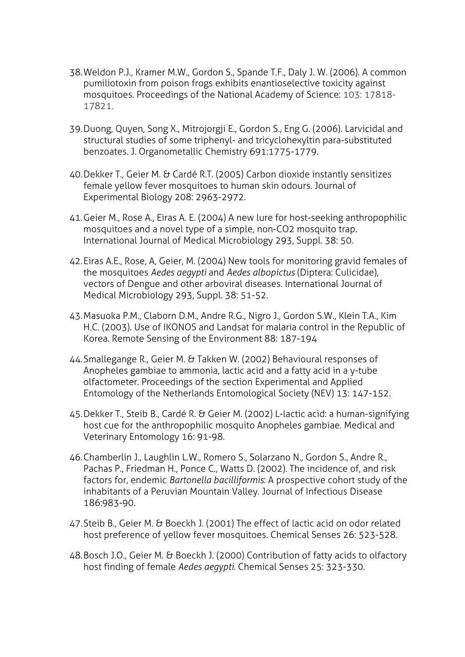- 38.Weldon P.J., Kramer M.W., Gordon S., Spande T.F., Daly J. W. (2006). A common pumiliotoxin from poison frogs exhibits enantioselective toxicity against mosquitoes. Proceedings of the National Academy of Science: 103: 17818- 17821.
- 39.Duong, Quyen, Song X., Mitrojorgji E., Gordon S., Eng G. (2006). Larvicidal and structural studies of some triphenyl- and tricyclohexyltin para-substituted benzoates. J. Organometallic Chemistry 691:1775-1779.
- 40.Dekker T., Geier M. & Cardé R.T. (2005) Carbon dioxide instantly sensitizes female yellow fever mosquitoes to human skin odours. Journal of Experimental Biology 208: 2963-2972.
- 41.Geier M., Rose A., Eiras A. E. (2004) A new lure for host-seeking anthropophilic mosquitoes and a novel type of a simple, non-CO2 mosquito trap. International Journal of Medical Microbiology 293, Suppl. 38: 50.
- 42.Eiras A.E., Rose, A, Geier, M. (2004) New tools for monitoring gravid females of the mosquitoes *Aedes aegypti* and *Aedes albopictus* (Diptera: Culicidae), vectors of Dengue and other arboviral diseases. International Journal of Medical Microbiology 293, Suppl. 38: 51-52.
- 43.Masuoka P.M., Claborn D.M., Andre R.G., Nigro J., Gordon S.W., Klein T.A., Kim H.C. (2003). Use of IKONOS and Landsat for malaria control in the Republic of Korea. Remote Sensing of the Environment 88: 187-194
- 44.Smallegange R., Geier M. & Takken W. (2002) Behavioural responses of Anopheles gambiae to ammonia, lactic acid and a fatty acid in a y-tube olfactometer. Proceedings of the section Experimental and Applied Entomology of the Netherlands Entomological Society (NEV) 13: 147-152.
- 45.Dekker T., Steib B., Cardé R. & Geier M. (2002) L-lactic acid: a human-signifying host cue for the anthropophilic mosquito Anopheles gambiae. Medical and Veterinary Entomology 16: 91-98.
- 46.Chamberlin J., Laughlin L.W., Romero S., Solarzano N., Gordon S., Andre R., Pachas P., Friedman H., Ponce C., Watts D. (2002). The incidence of, and risk factors for, endemic *Bartonella bacilliformis*: A prospective cohort study of the inhabitants of a Peruvian Mountain Valley. Journal of Infectious Disease 186:983-90.
- 47.Steib B., Geier M. & Boeckh J. (2001) The effect of lactic acid on odor related host preference of yellow fever mosquitoes. Chemical Senses 26: 523-528.
- 48.Bosch J.O., Geier M. & Boeckh J. (2000) Contribution of fatty acids to olfactory host finding of female *Aedes aegypti*. Chemical Senses 25: 323-330.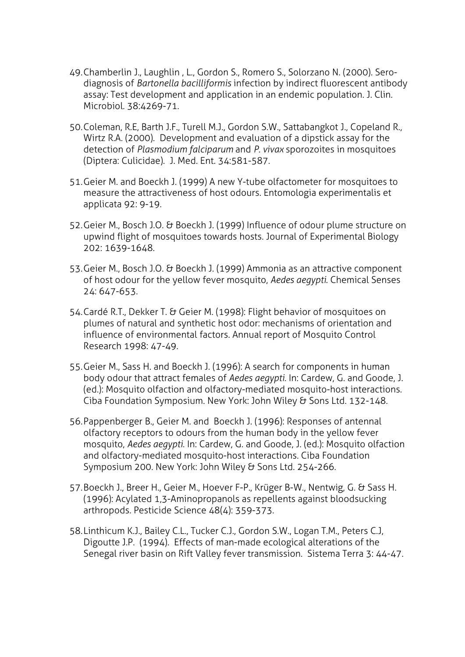- 49.Chamberlin J., Laughlin , L., Gordon S., Romero S., Solorzano N. (2000). Serodiagnosis of *Bartonella bacilliformis* infection by indirect fluorescent antibody assay: Test development and application in an endemic population. J. Clin. Microbiol. 38:4269-71.
- 50.Coleman, R.E, Barth J.F., Turell M.J., Gordon S.W., Sattabangkot J., Copeland R., Wirtz R.A. (2000). Development and evaluation of a dipstick assay for the detection of *Plasmodium falciparum* and *P. vivax* sporozoites in mosquitoes (Diptera: Culicidae). J. Med. Ent. 34:581-587.
- 51.Geier M. and Boeckh J. (1999) A new Y-tube olfactometer for mosquitoes to measure the attractiveness of host odours. Entomologia experimentalis et applicata 92: 9-19.
- 52.Geier M., Bosch J.O. & Boeckh J. (1999) Influence of odour plume structure on upwind flight of mosquitoes towards hosts. Journal of Experimental Biology 202: 1639-1648.
- 53.Geier M., Bosch J.O. & Boeckh J. (1999) Ammonia as an attractive component of host odour for the yellow fever mosquito, *Aedes aegypti*. Chemical Senses 24: 647-653.
- 54.Cardé R.T., Dekker T. & Geier M. (1998): Flight behavior of mosquitoes on plumes of natural and synthetic host odor: mechanisms of orientation and influence of environmental factors. Annual report of Mosquito Control Research 1998: 47-49.
- 55.Geier M., Sass H. and Boeckh J. (1996): A search for components in human body odour that attract females of *Aedes aegypti*. In: Cardew, G. and Goode, J. (ed.): Mosquito olfaction and olfactory-mediated mosquito-host interactions. Ciba Foundation Symposium. New York: John Wiley & Sons Ltd. 132-148.
- 56.Pappenberger B., Geier M. and Boeckh J. (1996): Responses of antennal olfactory receptors to odours from the human body in the yellow fever mosquito, *Aedes aegypti*. In: Cardew, G. and Goode, J. (ed.): Mosquito olfaction and olfactory-mediated mosquito-host interactions. Ciba Foundation Symposium 200. New York: John Wiley & Sons Ltd. 254-266.
- 57.Boeckh J., Breer H., Geier M., Hoever F-P., Krüger B-W., Nentwig, G. & Sass H. (1996): Acylated 1,3-Aminopropanols as repellents against bloodsucking arthropods. Pesticide Science 48(4): 359-373.
- 58.Linthicum K.J., Bailey C.L., Tucker C.J., Gordon S.W., Logan T.M., Peters C.J, Digoutte J.P. (1994). Effects of man-made ecological alterations of the Senegal river basin on Rift Valley fever transmission. Sistema Terra 3: 44-47.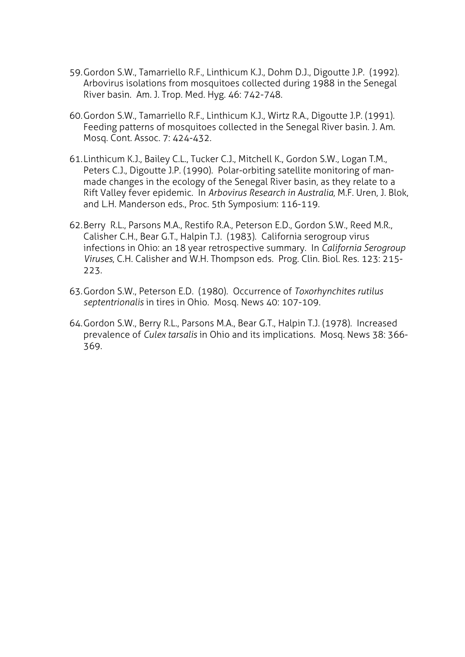- 59.Gordon S.W., Tamarriello R.F., Linthicum K.J., Dohm D.J., Digoutte J.P. (1992). Arbovirus isolations from mosquitoes collected during 1988 in the Senegal River basin. Am. J. Trop. Med. Hyg. 46: 742-748.
- 60.Gordon S.W., Tamarriello R.F., Linthicum K.J., Wirtz R.A., Digoutte J.P. (1991). Feeding patterns of mosquitoes collected in the Senegal River basin. J. Am. Mosq. Cont. Assoc. 7: 424-432.
- 61.Linthicum K.J., Bailey C.L., Tucker C.J., Mitchell K., Gordon S.W., Logan T.M., Peters C.J., Digoutte J.P. (1990). Polar-orbiting satellite monitoring of manmade changes in the ecology of the Senegal River basin, as they relate to a Rift Valley fever epidemic. In *Arbovirus Research in Australia*, M.F. Uren, J. Blok, and L.H. Manderson eds., Proc. 5th Symposium: 116-119.
- 62.Berry R.L., Parsons M.A., Restifo R.A., Peterson E.D., Gordon S.W., Reed M.R., Calisher C.H., Bear G.T., Halpin T.J. (1983). California serogroup virus infections in Ohio: an 18 year retrospective summary. In *California Serogroup Viruses*, C.H. Calisher and W.H. Thompson eds. Prog. Clin. Biol. Res. 123: 215- 223.
- 63.Gordon S.W., Peterson E.D. (1980). Occurrence of *Toxorhynchites rutilus septentrionalis* in tires in Ohio. Mosq. News 40: 107-109.
- 64.Gordon S.W., Berry R.L., Parsons M.A., Bear G.T., Halpin T.J. (1978). Increased prevalence of *Culex tarsalis* in Ohio and its implications. Mosq. News 38: 366- 369.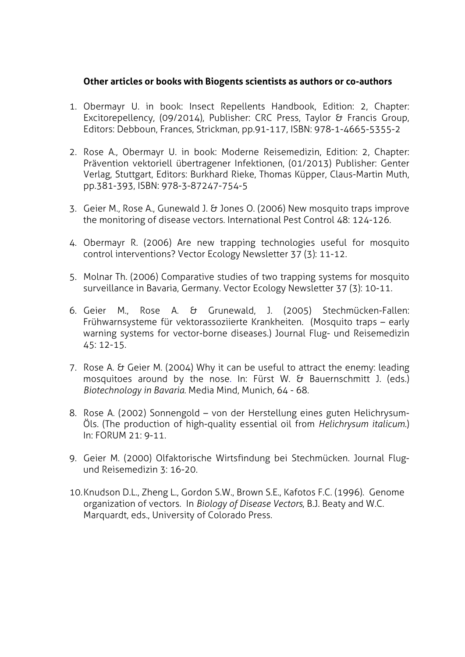## **Other articles or books with Biogents scientists as authors or co-authors**

- 1. Obermayr U. in book: Insect Repellents Handbook, Edition: 2, Chapter: Excitorepellency, (09/2014), Publisher: CRC Press, Taylor & Francis Group, Editors: Debboun, Frances, Strickman, pp.91-117, ISBN: 978-1-4665-5355-2
- 2. Rose A., Obermayr U. in book: Moderne Reisemedizin, Edition: 2, Chapter: Prävention vektoriell übertragener Infektionen, (01/2013) Publisher: Genter Verlag, Stuttgart, Editors: Burkhard Rieke, Thomas Küpper, Claus-Martin Muth, pp.381-393, ISBN: 978-3-87247-754-5
- 3. Geier M., Rose A., Gunewald J. & Jones O. (2006) New mosquito traps improve the monitoring of disease vectors. International Pest Control 48: 124-126.
- 4. Obermayr R. (2006) Are new trapping technologies useful for mosquito control interventions? Vector Ecology Newsletter 37 (3): 11-12.
- 5. Molnar Th. (2006) Comparative studies of two trapping systems for mosquito surveillance in Bavaria, Germany. Vector Ecology Newsletter 37 (3): 10-11.
- 6. Geier M., Rose A. & Grunewald, J. (2005) Stechmücken-Fallen: Frühwarnsysteme für vektorassoziierte Krankheiten. (Mosquito traps – early warning systems for vector-borne diseases.) Journal Flug- und Reisemedizin 45: 12-15.
- 7. Rose A. & Geier M. (2004) Why it can be useful to attract the enemy: leading mosquitoes around by the nose. In: Fürst W. & Bauernschmitt J. (eds.) *Biotechnology in Bavaria.* Media Mind, Munich, 64 - 68.
- 8. Rose A. (2002) Sonnengold von der Herstellung eines guten Helichrysum-Öls. (The production of high-quality essential oil from *Helichrysum italicum*.) In: FORUM 21: 9-11.
- 9. Geier M. (2000) Olfaktorische Wirtsfindung bei Stechmücken. Journal Flugund Reisemedizin 3: 16-20.
- 10.Knudson D.L., Zheng L., Gordon S.W., Brown S.E., Kafotos F.C. (1996). Genome organization of vectors. In *Biology of Disease Vectors*, B.J. Beaty and W.C. Marquardt, eds., University of Colorado Press.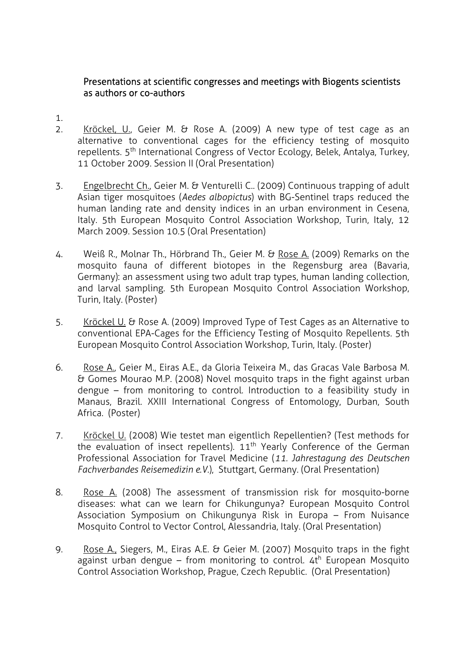## Presentations at scientific congresses and meetings with Biogents scientists as authors or co-authors

- 1.
- 2. Kröckel, U., Geier M. & Rose A. (2009) A new type of test cage as an alternative to conventional cages for the efficiency testing of mosquito repellents. 5<sup>th</sup> International Congress of Vector Ecology, Belek, Antalya, Turkey, 11 October 2009. Session II (Oral Presentation)
- 3. Engelbrecht Ch., Geier M. & Venturelli C.. (2009) Continuous trapping of adult Asian tiger mosquitoes (*Aedes albopictus*) with BG-Sentinel traps reduced the human landing rate and density indices in an urban environment in Cesena, Italy. 5th European Mosquito Control Association Workshop, Turin, Italy, 12 March 2009. Session 10.5 (Oral Presentation)
- 4. Weiß R., Molnar Th., Hörbrand Th., Geier M. & Rose A. (2009) Remarks on the mosquito fauna of different biotopes in the Regensburg area (Bavaria, Germany): an assessment using two adult trap types, human landing collection, and larval sampling. 5th European Mosquito Control Association Workshop, Turin, Italy. (Poster)
- 5. Kröckel U. & Rose A. (2009) Improved Type of Test Cages as an Alternative to conventional EPA-Cages for the Efficiency Testing of Mosquito Repellents. 5th European Mosquito Control Association Workshop, Turin, Italy. (Poster)
- 6. Rose A., Geier M., Eiras A.E., da Gloria Teixeira M., das Gracas Vale Barbosa M. & Gomes Mourao M.P. (2008) Novel mosquito traps in the fight against urban dengue – from monitoring to control. Introduction to a feasibility study in Manaus, Brazil. XXIII International Congress of Entomology, Durban, South Africa. (Poster)
- 7. Kröckel U. (2008) Wie testet man eigentlich Repellentien? (Test methods for the evaluation of insect repellents). 11<sup>th</sup> Yearly Conference of the German Professional Association for Travel Medicine (*11. Jahrestagung des Deutschen Fachverbandes Reisemedizin e.V.*), Stuttgart, Germany. (Oral Presentation)
- 8. Rose A. (2008) The assessment of transmission risk for mosquito-borne diseases: what can we learn for Chikungunya? European Mosquito Control Association Symposium on Chikungunya Risk in Europa – From Nuisance Mosquito Control to Vector Control, Alessandria, Italy. (Oral Presentation)
- 9. Rose A., Siegers, M., Eiras A.E. & Geier M. (2007) Mosquito traps in the fight  $\overline{a}$  against urban dengue – from monitoring to control.  $4t^h$  European Mosquito Control Association Workshop, Prague, Czech Republic. (Oral Presentation)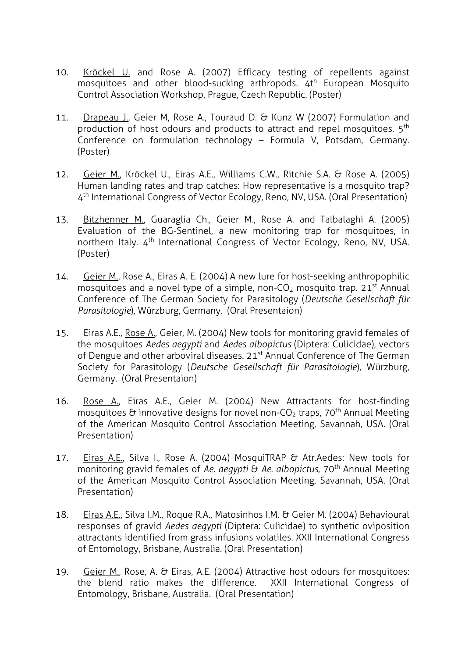- 10. Kröckel U. and Rose A. (2007) Efficacy testing of repellents against mosquitoes and other blood-sucking arthropods. 4th European Mosquito Control Association Workshop, Prague, Czech Republic. (Poster)
- 11. Drapeau J., Geier M, Rose A., Touraud D. & Kunz W (2007) Formulation and production of host odours and products to attract and repel mosquitoes. 5<sup>th</sup> Conference on formulation technology – Formula V, Potsdam, Germany. (Poster)
- 12. Geier M., Kröckel U., Eiras A.E., Williams C.W., Ritchie S.A. & Rose A. (2005) Human landing rates and trap catches: How representative is a mosquito trap? 4th International Congress of Vector Ecology, Reno, NV, USA. (Oral Presentation)
- 13. Bitzhenner M., Guaraglia Ch., Geier M., Rose A. and Talbalaghi A. (2005) Evaluation of the BG-Sentinel, a new monitoring trap for mosquitoes, in northern Italy. 4<sup>th</sup> International Congress of Vector Ecology, Reno, NV, USA. (Poster)
- 14. Geier M., Rose A., Eiras A. E. (2004) A new lure for host-seeking anthropophilic mosquitoes and a novel type of a simple, non- $CO<sub>2</sub>$  mosquito trap. 21<sup>st</sup> Annual Conference of The German Society for Parasitology (*Deutsche Gesellschaft für Parasitologie*), Würzburg, Germany. (Oral Presentaion)
- 15. Eiras A.E., Rose A., Geier, M. (2004) New tools for monitoring gravid females of the mosquitoes *Aedes aegypti* and *Aedes albopictus* (Diptera: Culicidae), vectors of Dengue and other arboviral diseases. 21<sup>st</sup> Annual Conference of The German Society for Parasitology (*Deutsche Gesellschaft für Parasitologie*), Würzburg, Germany. (Oral Presentaion)
- 16. Rose A., Eiras A.E., Geier M. (2004) New Attractants for host-finding mosquitoes & innovative designs for novel non-CO<sub>2</sub> traps, 70<sup>th</sup> Annual Meeting of the American Mosquito Control Association Meeting, Savannah, USA. (Oral Presentation)
- 17. Eiras A.E., Silva I., Rose A. (2004) MosquiTRAP & Atr.Aedes: New tools for monitoring gravid females of *Ae. aegypti* & *Ae. albopictus*, 70th Annual Meeting of the American Mosquito Control Association Meeting, Savannah, USA. (Oral Presentation)
- 18. Eiras A.E., Silva I.M., Roque R.A., Matosinhos I.M. & Geier M. (2004) Behavioural responses of gravid *Aedes aegypti* (Diptera: Culicidae) to synthetic oviposition attractants identified from grass infusions volatiles. XXII International Congress of Entomology, Brisbane, Australia. (Oral Presentation)
- 19. Geier M., Rose, A. & Eiras, A.E. (2004) Attractive host odours for mosquitoes: the blend ratio makes the difference. XXII International Congress of Entomology, Brisbane, Australia. (Oral Presentation)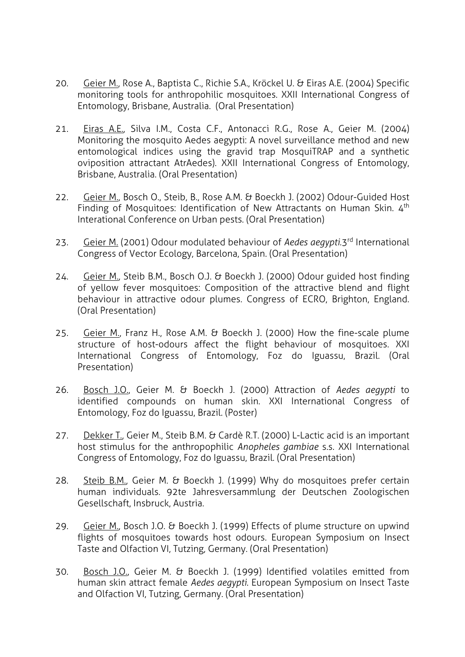- 20. Geier M., Rose A., Baptista C., Richie S.A., Kröckel U. & Eiras A.E. (2004) Specific monitoring tools for anthropohilic mosquitoes. XXII International Congress of Entomology, Brisbane, Australia. (Oral Presentation)
- 21. Eiras A.E., Silva I.M., Costa C.F., Antonacci R.G., Rose A., Geier M. (2004) Monitoring the mosquito Aedes aegypti: A novel surveillance method and new entomological indices using the gravid trap MosquiTRAP and a synthetic oviposition attractant AtrAedes). XXII International Congress of Entomology, Brisbane, Australia. (Oral Presentation)
- 22. Geier M., Bosch O., Steib, B., Rose A.M. & Boeckh J. (2002) Odour-Guided Host Finding of Mosquitoes: Identification of New Attractants on Human Skin. 4<sup>th</sup> Interational Conference on Urban pests. (Oral Presentation)
- 23. Geier M. (2001) Odour modulated behaviour of *Aedes aegypti*.3rd International Congress of Vector Ecology, Barcelona, Spain. (Oral Presentation)
- 24. Geier M., Steib B.M., Bosch O.J. & Boeckh J. (2000) Odour guided host finding of yellow fever mosquitoes: Composition of the attractive blend and flight behaviour in attractive odour plumes. Congress of ECRO, Brighton, England. (Oral Presentation)
- 25. Geier M., Franz H., Rose A.M. & Boeckh J. (2000) How the fine-scale plume structure of host-odours affect the flight behaviour of mosquitoes. XXI International Congress of Entomology, Foz do Iguassu, Brazil. (Oral Presentation)
- 26. Bosch J.O., Geier M. & Boeckh J. (2000) Attraction of *Aedes aegypti* to identified compounds on human skin. XXI International Congress of Entomology, Foz do Iguassu, Brazil. (Poster)
- 27. Dekker T., Geier M., Steib B.M. & Cardè R.T. (2000) L-Lactic acid is an important host stimulus for the anthropophilic *Anopheles gambiae* s.s. XXI International Congress of Entomology, Foz do Iguassu, Brazil. (Oral Presentation)
- 28. Steib B.M., Geier M. & Boeckh J. (1999) Why do mosquitoes prefer certain human individuals. 92te Jahresversammlung der Deutschen Zoologischen Gesellschaft, Insbruck, Austria.
- 29. Geier M., Bosch J.O. & Boeckh J. (1999) Effects of plume structure on upwind flights of mosquitoes towards host odours. European Symposium on Insect Taste and Olfaction VI, Tutzing, Germany. (Oral Presentation)
- 30. Bosch J.O., Geier M. & Boeckh J. (1999) Identified volatiles emitted from human skin attract female *Aedes aegypti.* European Symposium on Insect Taste and Olfaction VI, Tutzing, Germany. (Oral Presentation)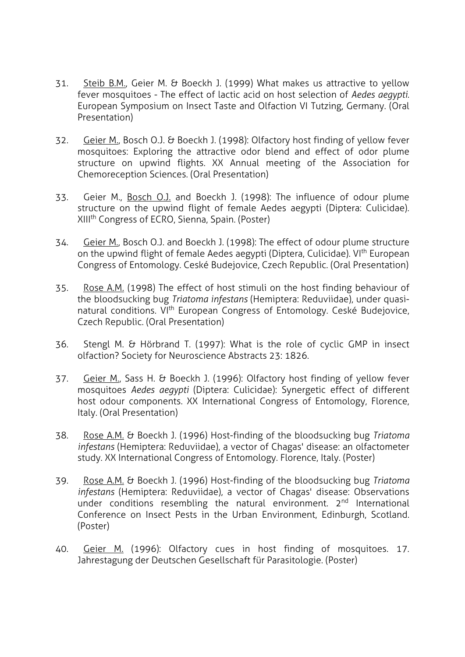- 31. Steib B.M., Geier M. & Boeckh J. (1999) What makes us attractive to yellow fever mosquitoes - The effect of lactic acid on host selection of *Aedes aegypti*. European Symposium on Insect Taste and Olfaction VI Tutzing, Germany. (Oral Presentation)
- 32. Geier M., Bosch O.J. & Boeckh J. (1998): Olfactory host finding of yellow fever mosquitoes: Exploring the attractive odor blend and effect of odor plume structure on upwind flights. XX Annual meeting of the Association for Chemoreception Sciences. (Oral Presentation)
- 33. Geier M., Bosch O.J. and Boeckh J. (1998): The influence of odour plume structure on the upwind flight of female Aedes aegypti (Diptera: Culicidae). XIIIth Congress of ECRO, Sienna, Spain. (Poster)
- 34. Geier M., Bosch O.J. and Boeckh J. (1998): The effect of odour plume structure on the upwind flight of female Aedes aegypti (Diptera, Culicidae). VI<sup>th</sup> European Congress of Entomology. Ceské Budejovice, Czech Republic. (Oral Presentation)
- 35. Rose A.M. (1998) The effect of host stimuli on the host finding behaviour of the bloodsucking bug *Triatoma infestans* (Hemiptera: Reduviidae), under quasinatural conditions. VI<sup>th</sup> European Congress of Entomology. Ceské Budejovice, Czech Republic. (Oral Presentation)
- 36. Stengl M. & Hörbrand T. (1997): What is the role of cyclic GMP in insect olfaction? Society for Neuroscience Abstracts 23: 1826.
- 37. Geier M., Sass H. & Boeckh J. (1996): Olfactory host finding of yellow fever mosquitoes *Aedes aegypti* (Diptera: Culicidae): Synergetic effect of different host odour components. XX International Congress of Entomology, Florence, Italy. (Oral Presentation)
- 38. Rose A.M. & Boeckh J. (1996) Host-finding of the bloodsucking bug *Triatoma infestans* (Hemiptera: Reduviidae), a vector of Chagas' disease: an olfactometer study. XX International Congress of Entomology. Florence, Italy. (Poster)
- 39. Rose A.M. & Boeckh J. (1996) Host-finding of the bloodsucking bug *Triatoma infestans* (Hemiptera: Reduviidae), a vector of Chagas' disease: Observations under conditions resembling the natural environment. 2<sup>nd</sup> International Conference on Insect Pests in the Urban Environment, Edinburgh, Scotland. (Poster)
- 40. Geier M. (1996): Olfactory cues in host finding of mosquitoes. 17. Jahrestagung der Deutschen Gesellschaft für Parasitologie. (Poster)